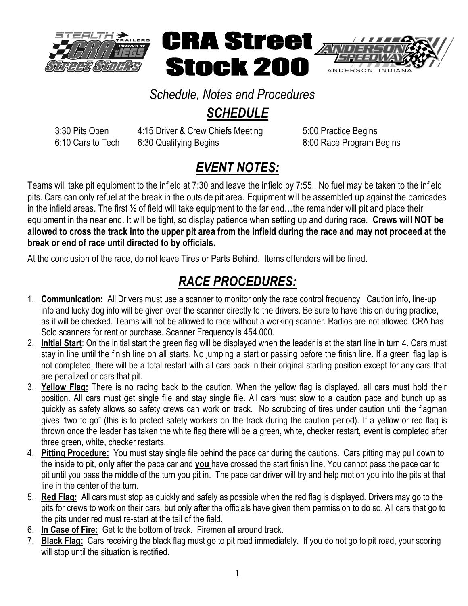

## *Schedule, Notes and Procedures* n<br>a<br>=I

## *SCHEDULE*

3:30 Pits Open 4:15 Driver & Crew Chiefs Meeting 5:00 Practice Begins 6:10 Cars to Tech 6:30 Qualifying Begins 6:00 Race Program Begins

## *EVENT NOTES:*

Teams will take pit equipment to the infield at 7:30 and leave the infield by 7:55. No fuel may be taken to the infield pits. Cars can only refuel at the break in the outside pit area. Equipment will be assembled up against the barricades in the infield areas. The first ½ of field will take equipment to the far end…the remainder will pit and place their equipment in the near end. It will be tight, so display patience when setting up and during race. **Crews will NOT be allowed to cross the track into the upper pit area from the infield during the race and may not proceed at the break or end of race until directed to by officials.** 

At the conclusion of the race, do not leave Tires or Parts Behind. Items offenders will be fined.

## *RACE PROCEDURES:*

- 1. **Communication:** All Drivers must use a scanner to monitor only the race control frequency. Caution info, line-up info and lucky dog info will be given over the scanner directly to the drivers. Be sure to have this on during practice, as it will be checked. Teams will not be allowed to race without a working scanner. Radios are not allowed. CRA has Solo scanners for rent or purchase. Scanner Frequency is 454.000.
- 2. **Initial Start**: On the initial start the green flag will be displayed when the leader is at the start line in turn 4. Cars must stay in line until the finish line on all starts. No jumping a start or passing before the finish line. If a green flag lap is not completed, there will be a total restart with all cars back in their original starting position except for any cars that are penalized or cars that pit.
- 3. **Yellow Flag:** There is no racing back to the caution. When the yellow flag is displayed, all cars must hold their position. All cars must get single file and stay single file. All cars must slow to a caution pace and bunch up as quickly as safety allows so safety crews can work on track. No scrubbing of tires under caution until the flagman gives "two to go" (this is to protect safety workers on the track during the caution period). If a yellow or red flag is thrown once the leader has taken the white flag there will be a green, white, checker restart, event is completed after three green, white, checker restarts.
- 4. **Pitting Procedure:** You must stay single file behind the pace car during the cautions. Cars pitting may pull down to the inside to pit, **only** after the pace car and **you** have crossed the start finish line. You cannot pass the pace car to pit until you pass the middle of the turn you pit in. The pace car driver will try and help motion you into the pits at that line in the center of the turn.
- 5. **Red Flag:** All cars must stop as quickly and safely as possible when the red flag is displayed. Drivers may go to the pits for crews to work on their cars, but only after the officials have given them permission to do so. All cars that go to the pits under red must re-start at the tail of the field.
- 6. **In Case of Fire:** Get to the bottom of track. Firemen all around track.
- 7. **Black Flag:** Cars receiving the black flag must go to pit road immediately. If you do not go to pit road, your scoring will stop until the situation is rectified.